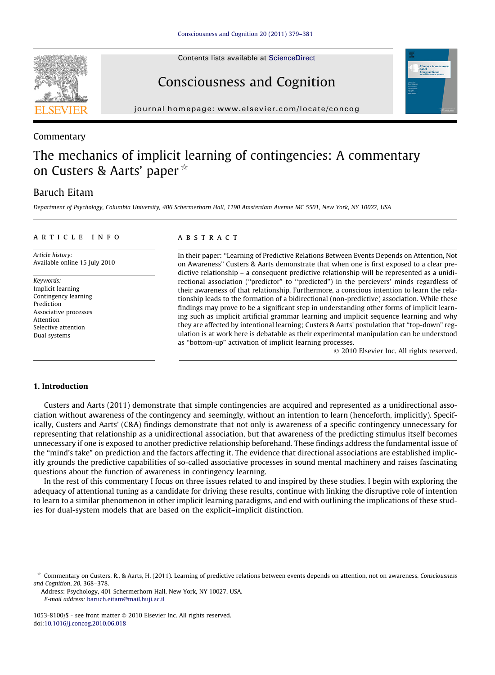Contents lists available at [ScienceDirect](http://www.sciencedirect.com/science/journal/10538100)







journal homepage: [www.elsevier.com/locate/concog](http://www.elsevier.com/locate/concog)

## Commentary

# The mechanics of implicit learning of contingencies: A commentary on Custers & Aarts' paper  $\overline{x}$

# Baruch Eitam

Department of Psychology, Columbia University, 406 Schermerhorn Hall, 1190 Amsterdam Avenue MC 5501, New York, NY 10027, USA

### ARTICIE INFO

Article history: Available online 15 July 2010

Keywords: Implicit learning Contingency learning Prediction Associative processes Attention Selective attention Dual systems

## **ABSTRACT**

In their paper: ''Learning of Predictive Relations Between Events Depends on Attention, Not on Awareness" Custers & Aarts demonstrate that when one is first exposed to a clear predictive relationship – a consequent predictive relationship will be represented as a unidirectional association (''predictor" to ''predicted") in the percievers' minds regardless of their awareness of that relationship. Furthermore, a conscious intention to learn the relationship leads to the formation of a bidirectional (non-predictive) association. While these findings may prove to be a significant step in understanding other forms of implicit learning such as implicit artificial grammar learning and implicit sequence learning and why they are affected by intentional learning; Custers & Aarts' postulation that ''top-down" regulation is at work here is debatable as their experimental manipulation can be understood as ''bottom-up" activation of implicit learning processes.

- 2010 Elsevier Inc. All rights reserved.

## 1. Introduction

Custers and Aarts (2011) demonstrate that simple contingencies are acquired and represented as a unidirectional association without awareness of the contingency and seemingly, without an intention to learn (henceforth, implicitly). Specifically, Custers and Aarts' (C&A) findings demonstrate that not only is awareness of a specific contingency unnecessary for representing that relationship as a unidirectional association, but that awareness of the predicting stimulus itself becomes unnecessary if one is exposed to another predictive relationship beforehand. These findings address the fundamental issue of the ''mind's take" on prediction and the factors affecting it. The evidence that directional associations are established implicitly grounds the predictive capabilities of so-called associative processes in sound mental machinery and raises fascinating questions about the function of awareness in contingency learning.

In the rest of this commentary I focus on three issues related to and inspired by these studies. I begin with exploring the adequacy of attentional tuning as a candidate for driving these results, continue with linking the disruptive role of intention to learn to a similar phenomenon in other implicit learning paradigms, and end with outlining the implications of these studies for dual-system models that are based on the explicit–implicit distinction.

Address: Psychology, 401 Schermerhorn Hall, New York, NY 10027, USA. E-mail address: [baruch.eitam@mail.huji.ac.il](mailto:baruch.eitam@mail.huji.ac.il)

Commentary on Custers, R., & Aarts, H. (2011). Learning of predictive relations between events depends on attention, not on awareness. Consciousness and Cognition, 20, 368–378.

<sup>1053-8100/\$ -</sup> see front matter © 2010 Elsevier Inc. All rights reserved. doi:[10.1016/j.concog.2010.06.018](http://dx.doi.org/10.1016/j.concog.2010.06.018)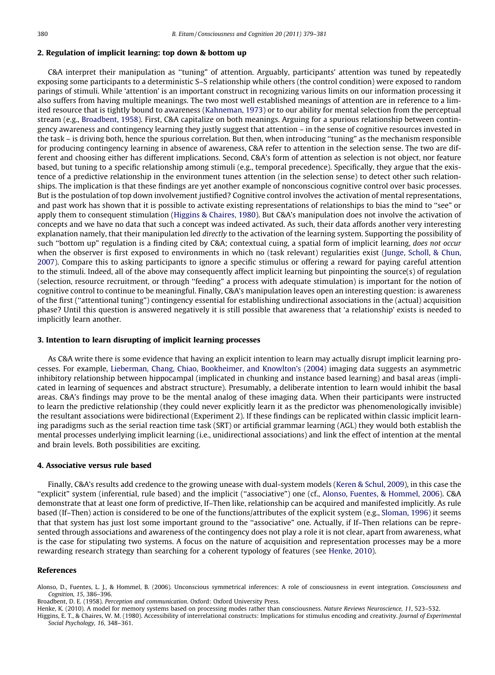### 2. Regulation of implicit learning: top down & bottom up

C&A interpret their manipulation as ''tuning" of attention. Arguably, participants' attention was tuned by repeatedly exposing some participants to a deterministic S–S relationship while others (the control condition) were exposed to random parings of stimuli. While 'attention' is an important construct in recognizing various limits on our information processing it also suffers from having multiple meanings. The two most well established meanings of attention are in reference to a limited resource that is tightly bound to awareness ([Kahneman, 1973](#page-2-0)) or to our ability for mental selection from the perceptual stream (e.g., Broadbent, 1958). First, C&A capitalize on both meanings. Arguing for a spurious relationship between contingency awareness and contingency learning they justly suggest that attention – in the sense of cognitive resources invested in the task – is driving both, hence the spurious correlation. But then, when introducing ''tuning" as the mechanism responsible for producing contingency learning in absence of awareness, C&A refer to attention in the selection sense. The two are different and choosing either has different implications. Second, C&A's form of attention as selection is not object, nor feature based, but tuning to a specific relationship among stimuli (e.g., temporal precedence). Specifically, they argue that the existence of a predictive relationship in the environment tunes attention (in the selection sense) to detect other such relationships. The implication is that these findings are yet another example of nonconscious cognitive control over basic processes. But is the postulation of top down involvement justified? Cognitive control involves the activation of mental representations, and past work has shown that it is possible to activate existing representations of relationships to bias the mind to ''see" or apply them to consequent stimulation (Higgins & Chaires, 1980). But C&A's manipulation does not involve the activation of concepts and we have no data that such a concept was indeed activated. As such, their data affords another very interesting explanation namely, that their manipulation led directly to the activation of the learning system. Supporting the possibility of such ''bottom up" regulation is a finding cited by C&A; contextual cuing, a spatial form of implicit learning, does not occur when the observer is first exposed to environments in which no (task relevant) regularities exist [\(Junge, Scholl, & Chun,](#page-2-0) [2007](#page-2-0)). Compare this to asking participants to ignore a specific stimulus or offering a reward for paying careful attention to the stimuli. Indeed, all of the above may consequently affect implicit learning but pinpointing the source(s) of regulation (selection, resource recruitment, or through ''feeding" a process with adequate stimulation) is important for the notion of cognitive control to continue to be meaningful. Finally, C&A's manipulation leaves open an interesting question: is awareness of the first (''attentional tuning") contingency essential for establishing undirectional associations in the (actual) acquisition phase? Until this question is answered negatively it is still possible that awareness that 'a relationship' exists is needed to implicitly learn another.

## 3. Intention to learn disrupting of implicit learning processes

As C&A write there is some evidence that having an explicit intention to learn may actually disrupt implicit learning processes. For example, [Lieberman, Chang, Chiao, Bookheimer, and Knowlton's \(2004\)](#page-2-0) imaging data suggests an asymmetric inhibitory relationship between hippocampal (implicated in chunking and instance based learning) and basal areas (implicated in learning of sequences and abstract structure). Presumably, a deliberate intention to learn would inhibit the basal areas. C&A's findings may prove to be the mental analog of these imaging data. When their participants were instructed to learn the predictive relationship (they could never explicitly learn it as the predictor was phenomenologically invisible) the resultant associations were bidirectional (Experiment 2). If these findings can be replicated within classic implicit learning paradigms such as the serial reaction time task (SRT) or artificial grammar learning (AGL) they would both establish the mental processes underlying implicit learning (i.e., unidirectional associations) and link the effect of intention at the mental and brain levels. Both possibilities are exciting.

#### 4. Associative versus rule based

Finally, C&A's results add credence to the growing unease with dual-system models ([Keren & Schul, 2009\)](#page-2-0), in this case the ''explicit" system (inferential, rule based) and the implicit (''associative") one (cf., Alonso, Fuentes, & Hommel, 2006). C&A demonstrate that at least one form of predictive, If–Then like, relationship can be acquired and manifested implicitly. As rule based (If–Then) action is considered to be one of the functions/attributes of the explicit system (e.g., [Sloman, 1996](#page-2-0)) it seems that that system has just lost some important ground to the "associative" one. Actually, if If-Then relations can be represented through associations and awareness of the contingency does not play a role it is not clear, apart from awareness, what is the case for stipulating two systems. A focus on the nature of acquisition and representation processes may be a more rewarding research strategy than searching for a coherent typology of features (see Henke, 2010).

#### References

Alonso, D., Fuentes, L. J., & Hommel, B. (2006). Unconscious symmetrical inferences: A role of consciousness in event integration. Consciousness and Cognition, 15, 386–396.

Broadbent, D. E. (1958). Perception and communication. Oxford: Oxford University Press.

Henke, K. (2010). A model for memory systems based on processing modes rather than consciousness. Nature Reviews Neuroscience, 11, 523–532.

Higgins, E. T., & Chaires, W. M. (1980). Accessibility of interrelational constructs: Implications for stimulus encoding and creativity. Journal of Experimental Social Psychology, 16, 348–361.